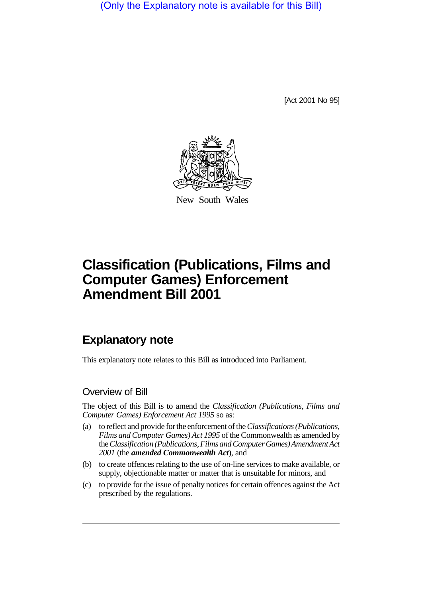(Only the Explanatory note is available for this Bill)

[Act 2001 No 95]



New South Wales

# **Classification (Publications, Films and Computer Games) Enforcement Amendment Bill 2001**

# **Explanatory note**

This explanatory note relates to this Bill as introduced into Parliament.

### Overview of Bill

The object of this Bill is to amend the *Classification (Publications, Films and Computer Games) Enforcement Act 1995* so as:

- (a) to reflect and provide for the enforcement of the *Classifications (Publications, Films and Computer Games) Act 1995* of the Commonwealth as amended by the *Classification (Publications, Films and Computer Games) Amendment Act 2001* (the *amended Commonwealth Act*), and
- (b) to create offences relating to the use of on-line services to make available, or supply, objectionable matter or matter that is unsuitable for minors, and
- (c) to provide for the issue of penalty notices for certain offences against the Act prescribed by the regulations.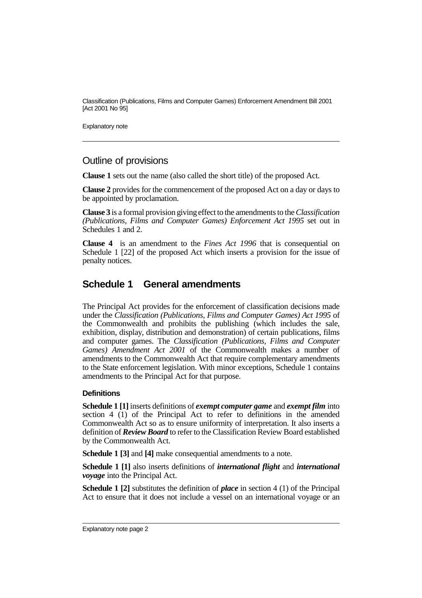Explanatory note

### Outline of provisions

**Clause 1** sets out the name (also called the short title) of the proposed Act.

**Clause 2** provides for the commencement of the proposed Act on a day or days to be appointed by proclamation.

**Clause 3** is a formal provision giving effect to the amendments to the *Classification (Publications, Films and Computer Games) Enforcement Act 1995* set out in Schedules 1 and 2.

**Clause 4** is an amendment to the *Fines Act 1996* that is consequential on Schedule 1 [22] of the proposed Act which inserts a provision for the issue of penalty notices.

# **Schedule 1 General amendments**

The Principal Act provides for the enforcement of classification decisions made under the *Classification (Publications, Films and Computer Games) Act 1995* of the Commonwealth and prohibits the publishing (which includes the sale, exhibition, display, distribution and demonstration) of certain publications, films and computer games. The *Classification (Publications, Films and Computer Games) Amendment Act 2001* of the Commonwealth makes a number of amendments to the Commonwealth Act that require complementary amendments to the State enforcement legislation. With minor exceptions, Schedule 1 contains amendments to the Principal Act for that purpose.

### **Definitions**

**Schedule 1 [1]** inserts definitions of *exempt computer game* and *exempt film* into section 4 (1) of the Principal Act to refer to definitions in the amended Commonwealth Act so as to ensure uniformity of interpretation. It also inserts a definition of *Review Board* to refer to the Classification Review Board established by the Commonwealth Act.

**Schedule 1 [3]** and **[4]** make consequential amendments to a note.

**Schedule 1 [1]** also inserts definitions of *international flight* and *international voyage* into the Principal Act.

**Schedule 1 [2]** substitutes the definition of *place* in section 4 (1) of the Principal Act to ensure that it does not include a vessel on an international voyage or an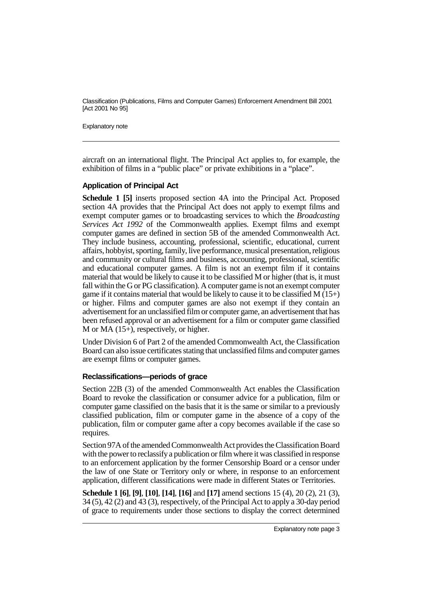Explanatory note

aircraft on an international flight. The Principal Act applies to, for example, the exhibition of films in a "public place" or private exhibitions in a "place".

#### **Application of Principal Act**

**Schedule 1 [5]** inserts proposed section 4A into the Principal Act. Proposed section 4A provides that the Principal Act does not apply to exempt films and exempt computer games or to broadcasting services to which the *Broadcasting Services Act 1992* of the Commonwealth applies. Exempt films and exempt computer games are defined in section 5B of the amended Commonwealth Act. They include business, accounting, professional, scientific, educational, current affairs, hobbyist, sporting, family, live performance, musical presentation, religious and community or cultural films and business, accounting, professional, scientific and educational computer games. A film is not an exempt film if it contains material that would be likely to cause it to be classified M or higher (that is, it must fall within the G or PG classification). A computer game is not an exempt computer game if it contains material that would be likely to cause it to be classified  $M(15+)$ or higher. Films and computer games are also not exempt if they contain an advertisement for an unclassified film or computer game, an advertisement that has been refused approval or an advertisement for a film or computer game classified M or MA (15+), respectively, or higher.

Under Division 6 of Part 2 of the amended Commonwealth Act, the Classification Board can also issue certificates stating that unclassified films and computer games are exempt films or computer games.

#### **Reclassifications—periods of grace**

Section 22B (3) of the amended Commonwealth Act enables the Classification Board to revoke the classification or consumer advice for a publication, film or computer game classified on the basis that it is the same or similar to a previously classified publication, film or computer game in the absence of a copy of the publication, film or computer game after a copy becomes available if the case so requires.

Section 97A of the amended Commonwealth Act provides the Classification Board with the power to reclassify a publication or film where it was classified in response to an enforcement application by the former Censorship Board or a censor under the law of one State or Territory only or where, in response to an enforcement application, different classifications were made in different States or Territories.

**Schedule 1 [6]**, **[9]**, **[10]**, **[14]**, **[16]** and **[17]** amend sections 15 (4), 20 (2), 21 (3), 34 (5), 42 (2) and 43 (3), respectively, of the Principal Act to apply a 30-day period of grace to requirements under those sections to display the correct determined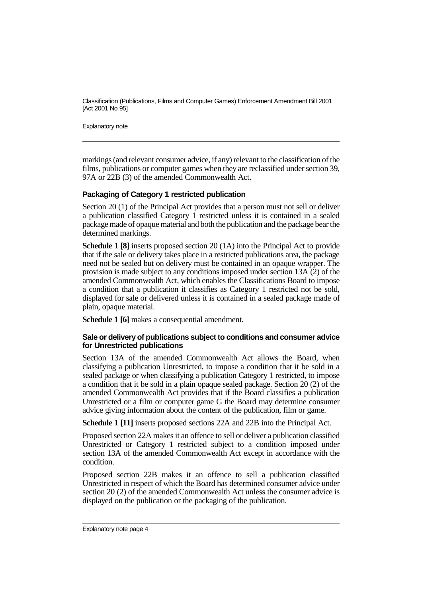Explanatory note

markings (and relevant consumer advice, if any) relevant to the classification of the films, publications or computer games when they are reclassified under section 39, 97A or 22B (3) of the amended Commonwealth Act.

#### **Packaging of Category 1 restricted publication**

Section 20 (1) of the Principal Act provides that a person must not sell or deliver a publication classified Category 1 restricted unless it is contained in a sealed package made of opaque material and both the publication and the package bear the determined markings.

**Schedule 1 [8]** inserts proposed section 20 (1A) into the Principal Act to provide that if the sale or delivery takes place in a restricted publications area, the package need not be sealed but on delivery must be contained in an opaque wrapper. The provision is made subject to any conditions imposed under section 13A (2) of the amended Commonwealth Act, which enables the Classifications Board to impose a condition that a publication it classifies as Category 1 restricted not be sold, displayed for sale or delivered unless it is contained in a sealed package made of plain, opaque material.

**Schedule 1 [6]** makes a consequential amendment.

#### **Sale or delivery of publications subject to conditions and consumer advice for Unrestricted publications**

Section 13A of the amended Commonwealth Act allows the Board, when classifying a publication Unrestricted, to impose a condition that it be sold in a sealed package or when classifying a publication Category 1 restricted, to impose a condition that it be sold in a plain opaque sealed package. Section 20 (2) of the amended Commonwealth Act provides that if the Board classifies a publication Unrestricted or a film or computer game G the Board may determine consumer advice giving information about the content of the publication, film or game.

**Schedule 1 [11]** inserts proposed sections 22A and 22B into the Principal Act.

Proposed section 22A makes it an offence to sell or deliver a publication classified Unrestricted or Category 1 restricted subject to a condition imposed under section 13A of the amended Commonwealth Act except in accordance with the condition.

Proposed section 22B makes it an offence to sell a publication classified Unrestricted in respect of which the Board has determined consumer advice under section 20 (2) of the amended Commonwealth Act unless the consumer advice is displayed on the publication or the packaging of the publication.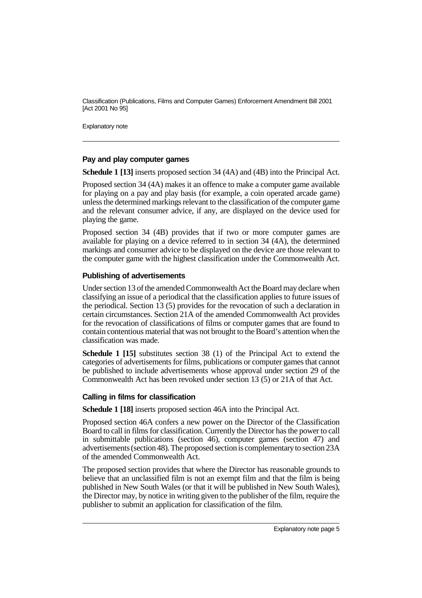Explanatory note

#### **Pay and play computer games**

**Schedule 1 [13]** inserts proposed section 34 (4A) and (4B) into the Principal Act.

Proposed section 34 (4A) makes it an offence to make a computer game available for playing on a pay and play basis (for example, a coin operated arcade game) unless the determined markings relevant to the classification of the computer game and the relevant consumer advice, if any, are displayed on the device used for playing the game.

Proposed section 34 (4B) provides that if two or more computer games are available for playing on a device referred to in section 34 (4A), the determined markings and consumer advice to be displayed on the device are those relevant to the computer game with the highest classification under the Commonwealth Act.

#### **Publishing of advertisements**

Under section 13 of the amended Commonwealth Act the Board may declare when classifying an issue of a periodical that the classification applies to future issues of the periodical. Section 13 (5) provides for the revocation of such a declaration in certain circumstances. Section 21A of the amended Commonwealth Act provides for the revocation of classifications of films or computer games that are found to contain contentious material that was not brought to the Board's attention when the classification was made.

**Schedule 1 [15]** substitutes section 38 (1) of the Principal Act to extend the categories of advertisements for films, publications or computer games that cannot be published to include advertisements whose approval under section 29 of the Commonwealth Act has been revoked under section 13 (5) or 21A of that Act.

#### **Calling in films for classification**

**Schedule 1 [18]** inserts proposed section 46A into the Principal Act.

Proposed section 46A confers a new power on the Director of the Classification Board to call in films for classification. Currently the Director has the power to call in submittable publications (section 46), computer games (section 47) and advertisements (section 48). The proposed section is complementary to section 23A of the amended Commonwealth Act.

The proposed section provides that where the Director has reasonable grounds to believe that an unclassified film is not an exempt film and that the film is being published in New South Wales (or that it will be published in New South Wales), the Director may, by notice in writing given to the publisher of the film, require the publisher to submit an application for classification of the film.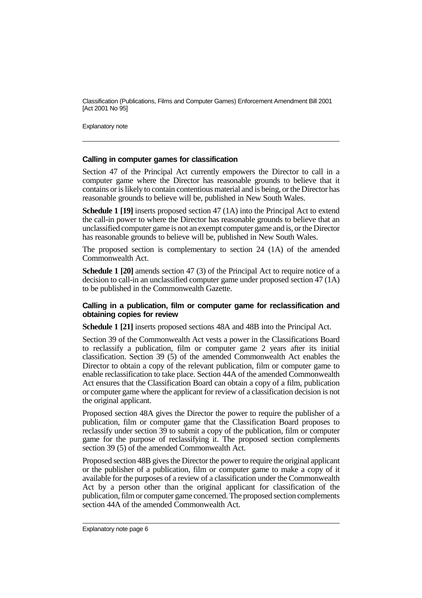Explanatory note

#### **Calling in computer games for classification**

Section 47 of the Principal Act currently empowers the Director to call in a computer game where the Director has reasonable grounds to believe that it contains or is likely to contain contentious material and is being, or the Director has reasonable grounds to believe will be, published in New South Wales.

**Schedule 1 [19]** inserts proposed section 47 (1A) into the Principal Act to extend the call-in power to where the Director has reasonable grounds to believe that an unclassified computer game is not an exempt computer game and is, or the Director has reasonable grounds to believe will be, published in New South Wales.

The proposed section is complementary to section 24 (1A) of the amended Commonwealth Act.

**Schedule 1 [20]** amends section 47 (3) of the Principal Act to require notice of a decision to call-in an unclassified computer game under proposed section 47 (1A) to be published in the Commonwealth Gazette.

#### **Calling in a publication, film or computer game for reclassification and obtaining copies for review**

**Schedule 1 [21]** inserts proposed sections 48A and 48B into the Principal Act.

Section 39 of the Commonwealth Act vests a power in the Classifications Board to reclassify a publication, film or computer game 2 years after its initial classification. Section 39 (5) of the amended Commonwealth Act enables the Director to obtain a copy of the relevant publication, film or computer game to enable reclassification to take place. Section 44A of the amended Commonwealth Act ensures that the Classification Board can obtain a copy of a film, publication or computer game where the applicant for review of a classification decision is not the original applicant.

Proposed section 48A gives the Director the power to require the publisher of a publication, film or computer game that the Classification Board proposes to reclassify under section 39 to submit a copy of the publication, film or computer game for the purpose of reclassifying it. The proposed section complements section 39 (5) of the amended Commonwealth Act.

Proposed section 48B gives the Director the power to require the original applicant or the publisher of a publication, film or computer game to make a copy of it available for the purposes of a review of a classification under the Commonwealth Act by a person other than the original applicant for classification of the publication, film or computer game concerned. The proposed section complements section 44A of the amended Commonwealth Act.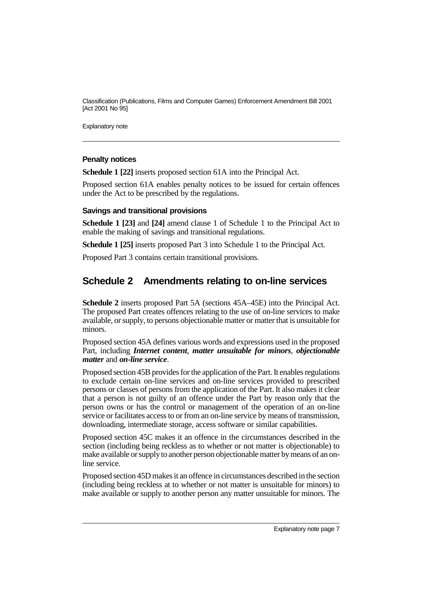Explanatory note

#### **Penalty notices**

**Schedule 1 [22]** inserts proposed section 61A into the Principal Act.

Proposed section 61A enables penalty notices to be issued for certain offences under the Act to be prescribed by the regulations.

#### **Savings and transitional provisions**

**Schedule 1 [23]** and **[24]** amend clause 1 of Schedule 1 to the Principal Act to enable the making of savings and transitional regulations.

**Schedule 1 [25]** inserts proposed Part 3 into Schedule 1 to the Principal Act.

Proposed Part 3 contains certain transitional provisions.

## **Schedule 2 Amendments relating to on-line services**

**Schedule 2** inserts proposed Part 5A (sections 45A–45E) into the Principal Act. The proposed Part creates offences relating to the use of on-line services to make available, or supply, to persons objectionable matter or matter that is unsuitable for minors.

Proposed section 45A defines various words and expressions used in the proposed Part, including *Internet content*, *matter unsuitable for minors*, *objectionable matter* and *on-line service*.

Proposed section 45B provides for the application of the Part. It enables regulations to exclude certain on-line services and on-line services provided to prescribed persons or classes of persons from the application of the Part. It also makes it clear that a person is not guilty of an offence under the Part by reason only that the person owns or has the control or management of the operation of an on-line service or facilitates access to or from an on-line service by means of transmission, downloading, intermediate storage, access software or similar capabilities.

Proposed section 45C makes it an offence in the circumstances described in the section (including being reckless as to whether or not matter is objectionable) to make available or supply to another person objectionable matter by means of an online service.

Proposed section 45D makes it an offence in circumstances described in the section (including being reckless at to whether or not matter is unsuitable for minors) to make available or supply to another person any matter unsuitable for minors. The